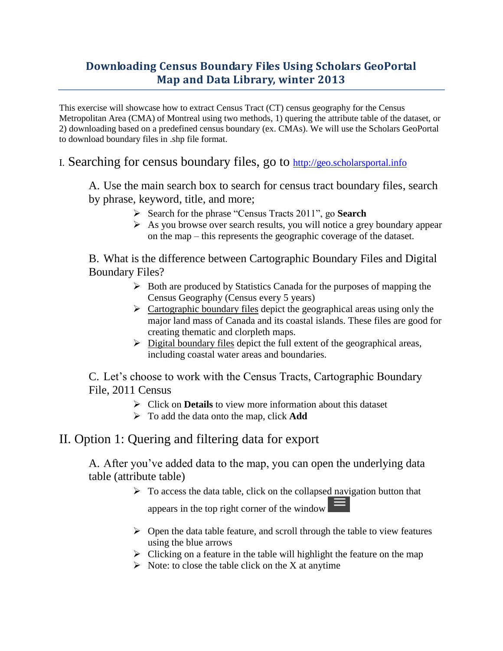## **Downloading Census Boundary Files Using Scholars GeoPortal Map and Data Library, winter 2013**

This exercise will showcase how to extract Census Tract (CT) census geography for the Census Metropolitan Area (CMA) of Montreal using two methods, 1) quering the attribute table of the dataset, or 2) downloading based on a predefined census boundary (ex. CMAs). We will use the Scholars GeoPortal to download boundary files in .shp file format.

I. Searching for census boundary files, go to [http://geo.scholarsportal.info](http://geo.scholarsportal.info/)

A. Use the main search box to search for census tract boundary files, search by phrase, keyword, title, and more;

- Search for the phrase "Census Tracts 2011", go **Search**
- As you browse over search results, you will notice a grey boundary appear on the map – this represents the geographic coverage of the dataset.

B. What is the difference between Cartographic Boundary Files and Digital Boundary Files?

- $\triangleright$  Both are produced by Statistics Canada for the purposes of mapping the Census Geography (Census every 5 years)
- $\triangleright$  Cartographic boundary files depict the geographical areas using only the major land mass of Canada and its coastal islands. These files are good for creating thematic and clorpleth maps.
- $\triangleright$  Digital boundary files depict the full extent of the geographical areas, including coastal water areas and boundaries.

C. Let"s choose to work with the Census Tracts, Cartographic Boundary File, 2011 Census

- Click on **Details** to view more information about this dataset
- To add the data onto the map, click **Add**

## II. Option 1: Quering and filtering data for export

A. After you"ve added data to the map, you can open the underlying data table (attribute table)

- $\triangleright$  To access the data table, click on the collapsed navigation button that appears in the top right corner of the window
- $\triangleright$  Open the data table feature, and scroll through the table to view features using the blue arrows
- $\triangleright$  Clicking on a feature in the table will highlight the feature on the map
- $\triangleright$  Note: to close the table click on the X at anytime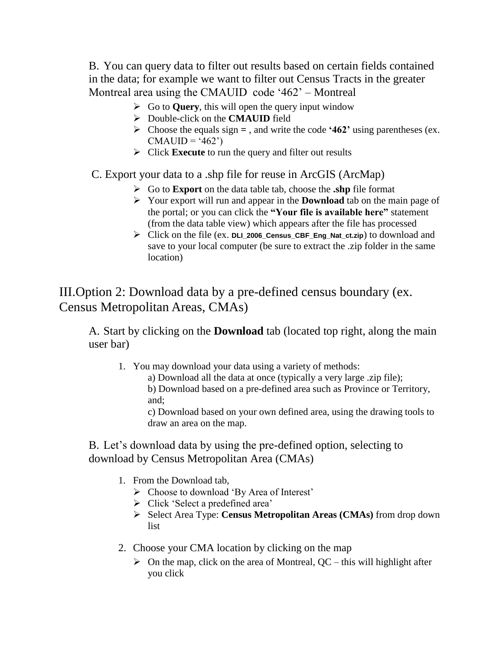B. You can query data to filter out results based on certain fields contained in the data; for example we want to filter out Census Tracts in the greater Montreal area using the CMAUID code '462' – Montreal

- $\triangleright$  Go to **Query**, this will open the query input window
- Double-click on the **CMAUID** field
- Choose the equals sign **=** , and write the code **"462"** using parentheses (ex.  $CMAUID = '462')$
- Click **Execute** to run the query and filter out results

C. Export your data to a .shp file for reuse in ArcGIS (ArcMap)

- Go to **Export** on the data table tab, choose the **.shp** file format
- Your export will run and appear in the **Download** tab on the main page of the portal; or you can click the **"Your file is available here"** statement (from the data table view) which appears after the file has processed
- Click on the file (ex. **DLI\_2006\_Census\_CBF\_Eng\_Nat\_ct.zip**) to download and save to your local computer (be sure to extract the .zip folder in the same location)

III.Option 2: Download data by a pre-defined census boundary (ex. Census Metropolitan Areas, CMAs)

A. Start by clicking on the **Download** tab (located top right, along the main user bar)

1. You may download your data using a variety of methods:

a) Download all the data at once (typically a very large .zip file);

b) Download based on a pre-defined area such as Province or Territory, and;

c) Download based on your own defined area, using the drawing tools to draw an area on the map.

B. Let's download data by using the pre-defined option, selecting to download by Census Metropolitan Area (CMAs)

- 1. From the Download tab,
	- $\triangleright$  Choose to download 'By Area of Interest'
	- $\triangleright$  Click 'Select a predefined area'
	- Select Area Type: **Census Metropolitan Areas (CMAs)** from drop down list
- 2. Choose your CMA location by clicking on the map
	- $\triangleright$  On the map, click on the area of Montreal, QC this will highlight after you click